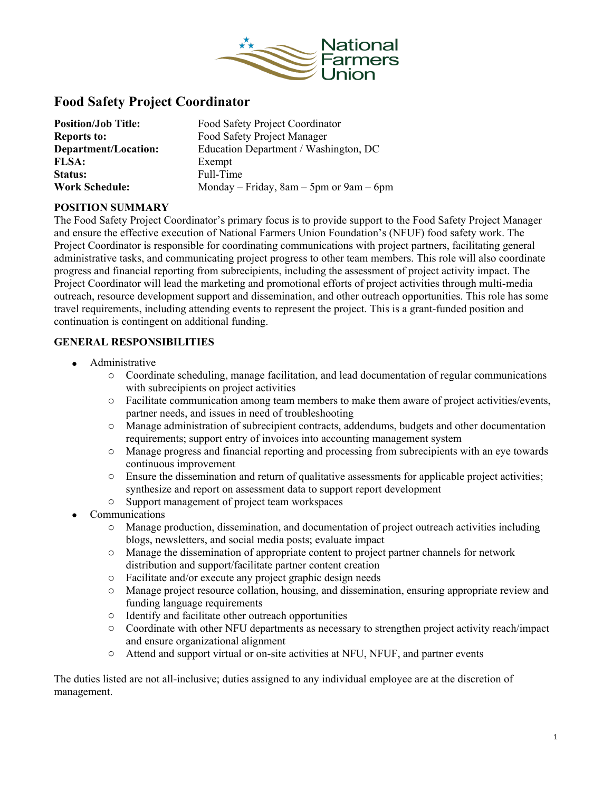

# **Food Safety Project Coordinator**

| <b>Position/Job Title:</b> | Food Safety Project Coordinator             |
|----------------------------|---------------------------------------------|
| <b>Reports to:</b>         | Food Safety Project Manager                 |
| Department/Location:       | Education Department / Washington, DC       |
| <b>FLSA:</b>               | Exempt                                      |
| <b>Status:</b>             | Full-Time                                   |
| <b>Work Schedule:</b>      | Monday – Friday, $8am - 5pm$ or $9am - 6pm$ |

## **POSITION SUMMARY**

The Food Safety Project Coordinator's primary focus is to provide support to the Food Safety Project Manager and ensure the effective execution of National Farmers Union Foundation's (NFUF) food safety work. The Project Coordinator is responsible for coordinating communications with project partners, facilitating general administrative tasks, and communicating project progress to other team members. This role will also coordinate progress and financial reporting from subrecipients, including the assessment of project activity impact. The Project Coordinator will lead the marketing and promotional efforts of project activities through multi-media outreach, resource development support and dissemination, and other outreach opportunities. This role has some travel requirements, including attending events to represent the project. This is a grant-funded position and continuation is contingent on additional funding.

#### **GENERAL RESPONSIBILITIES**

- Administrative
	- o Coordinate scheduling, manage facilitation, and lead documentation of regular communications with subrecipients on project activities
	- o Facilitate communication among team members to make them aware of project activities/events, partner needs, and issues in need of troubleshooting
	- o Manage administration of subrecipient contracts, addendums, budgets and other documentation requirements; support entry of invoices into accounting management system
	- o Manage progress and financial reporting and processing from subrecipients with an eye towards continuous improvement
	- o Ensure the dissemination and return of qualitative assessments for applicable project activities; synthesize and report on assessment data to support report development
	- o Support management of project team workspaces
- **Communications** 
	- o Manage production, dissemination, and documentation of project outreach activities including blogs, newsletters, and social media posts; evaluate impact
	- o Manage the dissemination of appropriate content to project partner channels for network distribution and support/facilitate partner content creation
	- Facilitate and/or execute any project graphic design needs<br>○ Manage project resource collation, housing, and dissemina
	- Manage project resource collation, housing, and dissemination, ensuring appropriate review and funding language requirements
	- o Identify and facilitate other outreach opportunities
	- o Coordinate with other NFU departments as necessary to strengthen project activity reach/impact and ensure organizational alignment
	- o Attend and support virtual or on-site activities at NFU, NFUF, and partner events

The duties listed are not all-inclusive; duties assigned to any individual employee are at the discretion of management.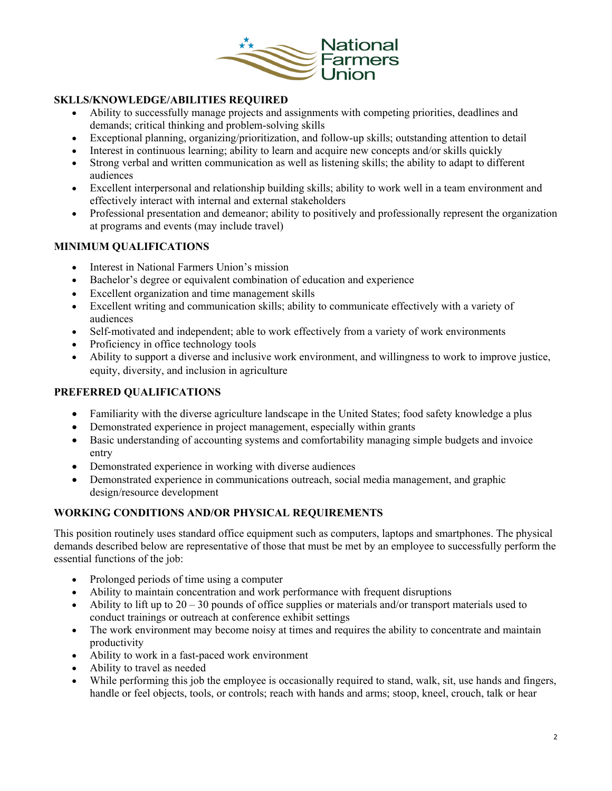

## **SKLLS/KNOWLEDGE/ABILITIES REQUIRED**

- Ability to successfully manage projects and assignments with competing priorities, deadlines and demands; critical thinking and problem-solving skills
- Exceptional planning, organizing/prioritization, and follow-up skills; outstanding attention to detail
- Interest in continuous learning; ability to learn and acquire new concepts and/or skills quickly
- Strong verbal and written communication as well as listening skills; the ability to adapt to different audiences
- Excellent interpersonal and relationship building skills; ability to work well in a team environment and effectively interact with internal and external stakeholders
- Professional presentation and demeanor; ability to positively and professionally represent the organization at programs and events (may include travel)

#### **MINIMUM QUALIFICATIONS**

- Interest in National Farmers Union's mission
- Bachelor's degree or equivalent combination of education and experience
- Excellent organization and time management skills
- Excellent writing and communication skills; ability to communicate effectively with a variety of audiences
- Self-motivated and independent; able to work effectively from a variety of work environments
- Proficiency in office technology tools
- Ability to support a diverse and inclusive work environment, and willingness to work to improve justice, equity, diversity, and inclusion in agriculture

## **PREFERRED QUALIFICATIONS**

- Familiarity with the diverse agriculture landscape in the United States; food safety knowledge a plus
- Demonstrated experience in project management, especially within grants
- Basic understanding of accounting systems and comfortability managing simple budgets and invoice entry
- Demonstrated experience in working with diverse audiences
- Demonstrated experience in communications outreach, social media management, and graphic design/resource development

## **WORKING CONDITIONS AND/OR PHYSICAL REQUIREMENTS**

This position routinely uses standard office equipment such as computers, laptops and smartphones. The physical demands described below are representative of those that must be met by an employee to successfully perform the essential functions of the job:

- Prolonged periods of time using a computer
- Ability to maintain concentration and work performance with frequent disruptions
- Ability to lift up to  $20 30$  pounds of office supplies or materials and/or transport materials used to conduct trainings or outreach at conference exhibit settings
- The work environment may become noisy at times and requires the ability to concentrate and maintain productivity
- Ability to work in a fast-paced work environment
- Ability to travel as needed
- While performing this job the employee is occasionally required to stand, walk, sit, use hands and fingers, handle or feel objects, tools, or controls; reach with hands and arms; stoop, kneel, crouch, talk or hear